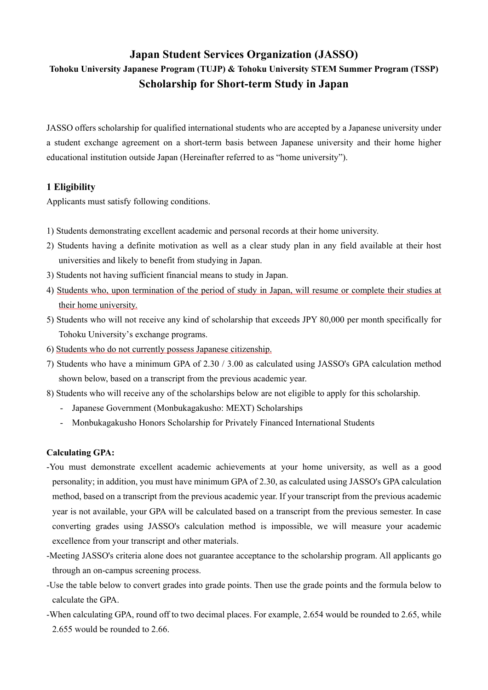# **Japan Student Services Organization (JASSO) Tohoku University Japanese Program (TUJP) & Tohoku University STEM Summer Program (TSSP) Scholarship for Short-term Study in Japan**

JASSO offers scholarship for qualified international students who are accepted by a Japanese university under a student exchange agreement on a short-term basis between Japanese university and their home higher educational institution outside Japan (Hereinafter referred to as "home university").

### **1 Eligibility**

Applicants must satisfy following conditions.

- 1) Students demonstrating excellent academic and personal records at their home university.
- 2) Students having a definite motivation as well as a clear study plan in any field available at their host universities and likely to benefit from studying in Japan.
- 3) Students not having sufficient financial means to study in Japan.
- 4) Students who, upon termination of the period of study in Japan, will resume or complete their studies at their home university.
- 5) Students who will not receive any kind of scholarship that exceeds JPY 80,000 per month specifically for Tohoku University's exchange programs.
- 6) Students who do not currently possess Japanese citizenship.
- 7) Students who have a minimum GPA of 2.30 / 3.00 as calculated using JASSO's GPA calculation method shown below, based on a transcript from the previous academic year.
- 8) Students who will receive any of the scholarships below are not eligible to apply for this scholarship.
	- Japanese Government (Monbukagakusho: MEXT) Scholarships
	- Monbukagakusho Honors Scholarship for Privately Financed International Students

#### **Calculating GPA:**

- -You must demonstrate excellent academic achievements at your home university, as well as a good personality; in addition, you must have minimum GPA of 2.30, as calculated using JASSO's GPA calculation method, based on a transcript from the previous academic year. If your transcript from the previous academic year is not available, your GPA will be calculated based on a transcript from the previous semester. In case converting grades using JASSO's calculation method is impossible, we will measure your academic excellence from your transcript and other materials.
- -Meeting JASSO's criteria alone does not guarantee acceptance to the scholarship program. All applicants go through an on-campus screening process.
- -Use the table below to convert grades into grade points. Then use the grade points and the formula below to calculate the GPA.
- -When calculating GPA, round off to two decimal places. For example, 2.654 would be rounded to 2.65, while 2.655 would be rounded to 2.66.